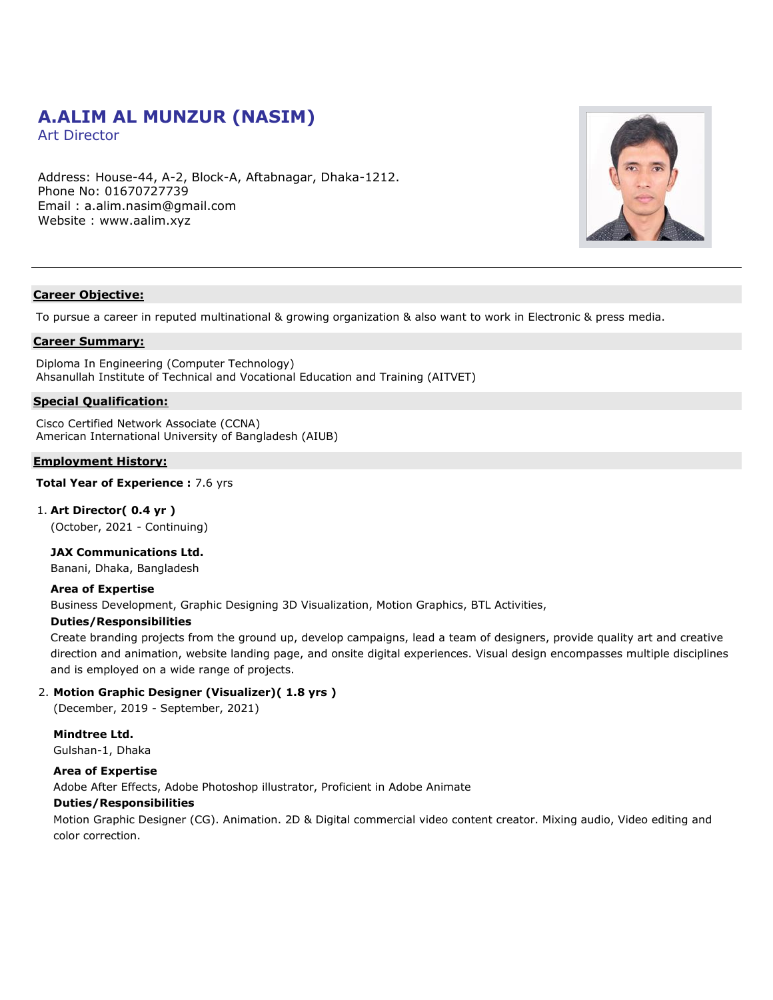# **A.ALIM AL MUNZUR (NASIM)**

Art Director

Address: House-44, A-2, Block-A, Aftabnagar, Dhaka-1212. Phone No: 01670727739 Email : a.alim.nasim@gmail.com Website : www.aalim.xyz



#### **Career Objective:**

To pursue a career in reputed multinational & growing organization & also want to work in Electronic & press media.

#### **Career Summary:**

Diploma In Engineering (Computer Technology) Ahsanullah Institute of Technical and Vocational Education and Training (AITVET)

#### **Special Qualification:**

Cisco Certified Network Associate (CCNA) American International University of Bangladesh (AIUB)

#### **Employment History:**

#### **Total Year of Experience :** 7.6 yrs

#### 1. **Art Director( 0.4 yr )**

(October, 2021 - Continuing)

#### **JAX Communications Ltd.**

Banani, Dhaka, Bangladesh

#### **Area of Expertise**

Business Development, Graphic Designing 3D Visualization, Motion Graphics, BTL Activities,

#### **Duties/Responsibilities**

Create branding projects from the ground up, develop campaigns, lead a team of designers, provide quality art and creative direction and animation, website landing page, and onsite digital experiences. Visual design encompasses multiple disciplines and is employed on a wide range of projects.

#### 2. **Motion Graphic Designer (Visualizer)( 1.8 yrs )**

(December, 2019 - September, 2021)

**Mindtree Ltd.**

Gulshan-1, Dhaka

**Area of Expertise**

Adobe After Effects, Adobe Photoshop illustrator, Proficient in Adobe Animate

#### **Duties/Responsibilities**

Motion Graphic Designer (CG). Animation. 2D & Digital commercial video content creator. Mixing audio, Video editing and color correction.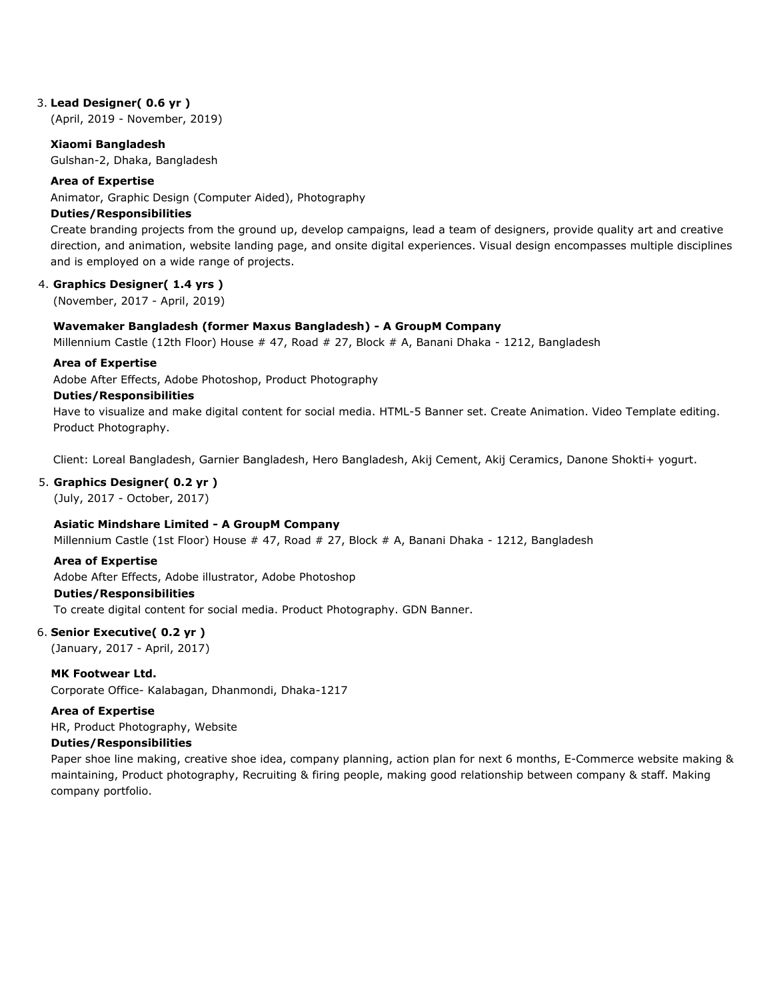#### 3. **Lead Designer( 0.6 yr )**

(April, 2019 - November, 2019)

#### **Xiaomi Bangladesh**

Gulshan-2, Dhaka, Bangladesh

#### **Area of Expertise**

Animator, Graphic Design (Computer Aided), Photography

#### **Duties/Responsibilities**

Create branding projects from the ground up, develop campaigns, lead a team of designers, provide quality art and creative direction, and animation, website landing page, and onsite digital experiences. Visual design encompasses multiple disciplines and is employed on a wide range of projects.

#### 4. **Graphics Designer( 1.4 yrs )**

(November, 2017 - April, 2019)

#### **Wavemaker Bangladesh (former Maxus Bangladesh) - A GroupM Company**

Millennium Castle (12th Floor) House # 47, Road # 27, Block # A, Banani Dhaka - 1212, Bangladesh

#### **Area of Expertise**

Adobe After Effects, Adobe Photoshop, Product Photography

#### **Duties/Responsibilities**

Have to visualize and make digital content for social media. HTML-5 Banner set. Create Animation. Video Template editing. Product Photography.

Client: Loreal Bangladesh, Garnier Bangladesh, Hero Bangladesh, Akij Cement, Akij Ceramics, Danone Shokti+ yogurt.

#### 5. **Graphics Designer( 0.2 yr )**

(July, 2017 - October, 2017)

#### **Asiatic Mindshare Limited - A GroupM Company**

Millennium Castle (1st Floor) House # 47, Road # 27, Block # A, Banani Dhaka - 1212, Bangladesh

#### **Area of Expertise**

Adobe After Effects, Adobe illustrator, Adobe Photoshop

#### **Duties/Responsibilities**

To create digital content for social media. Product Photography. GDN Banner.

#### 6. **Senior Executive( 0.2 yr )**

(January, 2017 - April, 2017)

#### **MK Footwear Ltd.**

Corporate Office- Kalabagan, Dhanmondi, Dhaka-1217

#### **Area of Expertise**

HR, Product Photography, Website

#### **Duties/Responsibilities**

Paper shoe line making, creative shoe idea, company planning, action plan for next 6 months, E-Commerce website making & maintaining, Product photography, Recruiting & firing people, making good relationship between company & staff. Making company portfolio.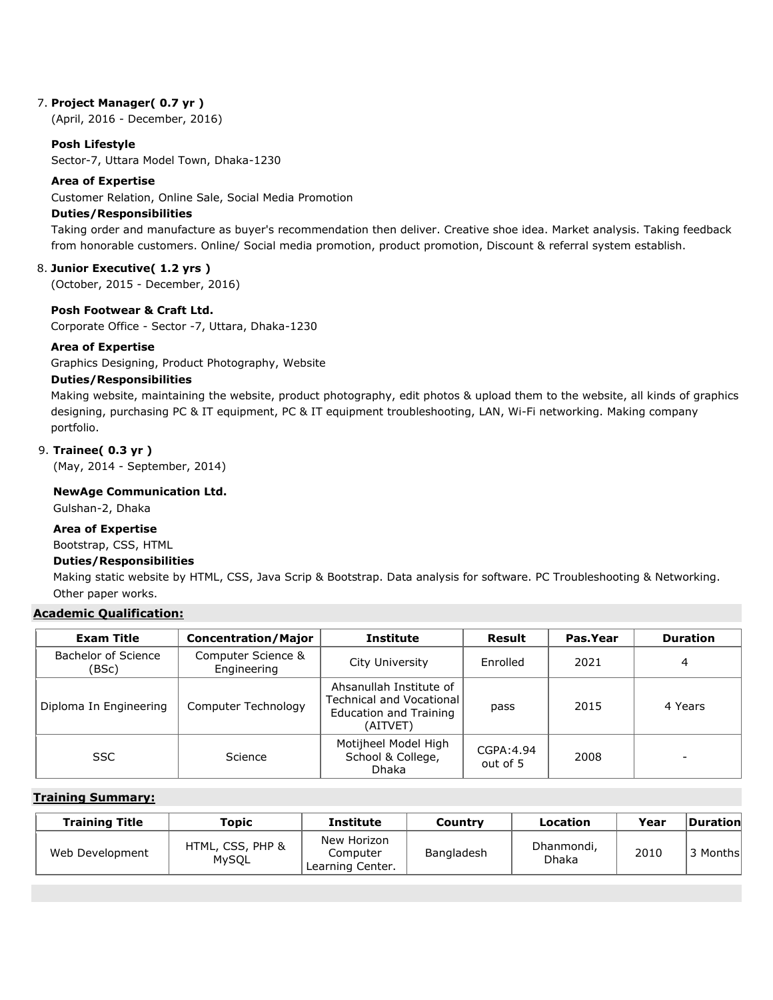#### 7. **Project Manager( 0.7 yr )**

(April, 2016 - December, 2016)

## **Posh Lifestyle**

Sector-7, Uttara Model Town, Dhaka-1230

#### **Area of Expertise**

Customer Relation, Online Sale, Social Media Promotion

#### **Duties/Responsibilities**

Taking order and manufacture as buyer's recommendation then deliver. Creative shoe idea. Market analysis. Taking feedback from honorable customers. Online/ Social media promotion, product promotion, Discount & referral system establish.

## 8. **Junior Executive( 1.2 yrs )**

(October, 2015 - December, 2016)

## **Posh Footwear & Craft Ltd.**

Corporate Office - Sector -7, Uttara, Dhaka-1230

## **Area of Expertise**

Graphics Designing, Product Photography, Website

#### **Duties/Responsibilities**

Making website, maintaining the website, product photography, edit photos & upload them to the website, all kinds of graphics designing, purchasing PC & IT equipment, PC & IT equipment troubleshooting, LAN, Wi-Fi networking. Making company portfolio.

## 9. **Trainee( 0.3 yr )**

(May, 2014 - September, 2014)

## **NewAge Communication Ltd.**

Gulshan-2, Dhaka

#### **Area of Expertise**

Bootstrap, CSS, HTML

#### **Duties/Responsibilities**

Making static website by HTML, CSS, Java Scrip & Bootstrap. Data analysis for software. PC Troubleshooting & Networking. Other paper works.

## **Academic Qualification:**

| Exam Title                   | <b>Concentration/Major</b>        | <b>Institute</b>                                                                          | Result                 | Pas.Year | <b>Duration</b>          |
|------------------------------|-----------------------------------|-------------------------------------------------------------------------------------------|------------------------|----------|--------------------------|
| Bachelor of Science<br>(BSc) | Computer Science &<br>Engineering | City University                                                                           | Enrolled               | 2021     | 4                        |
| Diploma In Engineering       | Computer Technology               | Ahsanullah Institute of<br>Technical and Vocational<br>Education and Training<br>(AITVET) | pass                   | 2015     | 4 Years                  |
| <b>SSC</b>                   | Science                           | Motijheel Model High<br>School & College,<br><b>Dhaka</b>                                 | CGPA: 4.94<br>out of 5 | 2008     | $\overline{\phantom{0}}$ |

#### **Training Summary:**

| <b>Training Title</b> | Topic                            | Institute                                   | Country    | Location                   | Year | Duration  |
|-----------------------|----------------------------------|---------------------------------------------|------------|----------------------------|------|-----------|
| Web Development       | HTML, CSS, PHP &<br><b>MySOL</b> | New Horizon<br>Computer<br>Learning Center. | Bangladesh | Dhanmondi,<br><b>Dhaka</b> | 2010 | 3 Monthsl |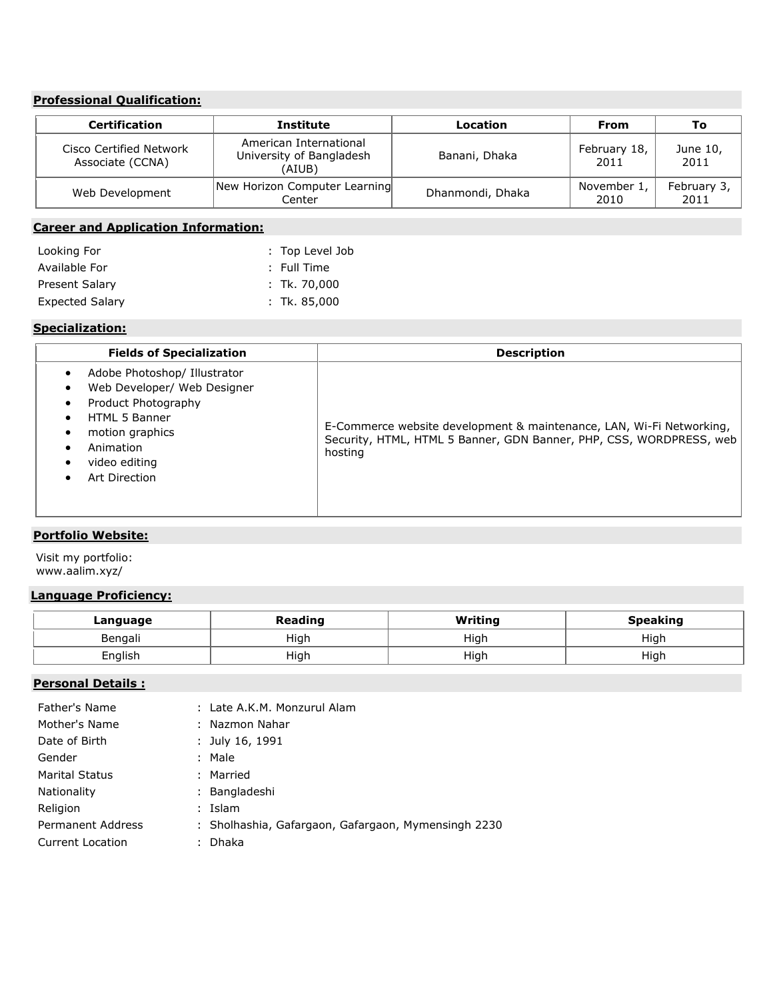## **Professional Qualification:**

| <b>Certification</b><br>Institute           |                                                              | Location         | <b>From</b>          | To                  |
|---------------------------------------------|--------------------------------------------------------------|------------------|----------------------|---------------------|
| Cisco Certified Network<br>Associate (CCNA) | American International<br>University of Bangladesh<br>(AIUB) | Banani, Dhaka    | February 18,<br>2011 | June 10,<br>2011    |
| Web Development                             | New Horizon Computer Learning<br>Center                      | Dhanmondi, Dhaka | November 1,<br>2010  | February 3,<br>2011 |

## **Career and Application Information:**

| Looking For            | : Top Level Job |
|------------------------|-----------------|
| Available For          | $:$ Full Time   |
| <b>Present Salary</b>  | $:$ Tk. 70,000  |
| <b>Expected Salary</b> | $:$ Tk, 85,000  |

## **Specialization:**

| <b>Fields of Specialization</b>                                                                                                                                       | <b>Description</b>                                                                                                                                     |
|-----------------------------------------------------------------------------------------------------------------------------------------------------------------------|--------------------------------------------------------------------------------------------------------------------------------------------------------|
| Adobe Photoshop/ Illustrator<br>Web Developer/ Web Designer<br>Product Photography<br>HTML 5 Banner<br>motion graphics<br>Animation<br>video editing<br>Art Direction | E-Commerce website development & maintenance, LAN, Wi-Fi Networking,<br>Security, HTML, HTML 5 Banner, GDN Banner, PHP, CSS, WORDPRESS, web<br>hosting |

## **Portfolio Website:**

Visit my portfolio: www.aalim.xyz/

## **Language Proficiency:**

| Language | <b>Reading</b> | Writing | <b>Speaking</b> |
|----------|----------------|---------|-----------------|
| Bengali  | High           | High    | High            |
| English  | High           | High    | High            |

## **Personal Details :**

| Father's Name            | : Late A.K.M. Monzurul Alam                         |
|--------------------------|-----------------------------------------------------|
| Mother's Name            | : Nazmon Nahar                                      |
| Date of Birth            | : July 16, 1991                                     |
| Gender                   | : Male                                              |
| <b>Marital Status</b>    | : Married                                           |
| Nationality              | : Bangladeshi                                       |
| Religion                 | : Islam                                             |
| <b>Permanent Address</b> | : Sholhashia, Gafargaon, Gafargaon, Mymensingh 2230 |
| Current Location         | : Dhaka                                             |
|                          |                                                     |